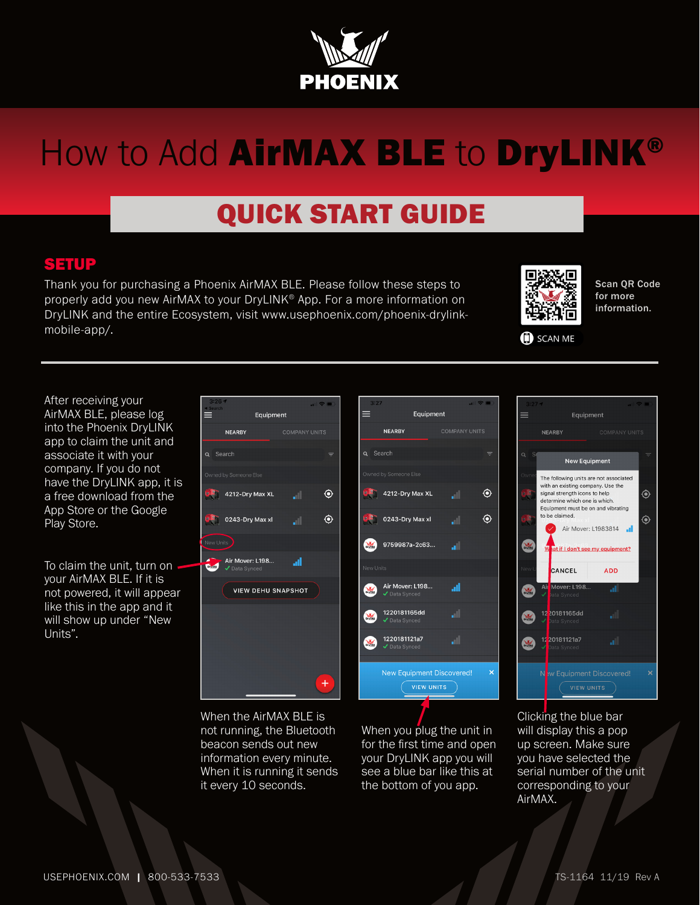

# How to Add AirMAX BLE to DryLINK®

## QUICK START GUIDE

#### SETUP

Thank you for purchasing a Phoenix AirMAX BLE. Please follow these steps to properly add you new AirMAX to your DryLINK® App. For a more information on DryLINK and the entire Ecosystem, visit www.usephoenix.com/phoenix-drylinkmobile-app/.



Scan QR Code for more information.

SCAN ME

After receiving your AirMAX BLE, please log into the Phoenix DryLINK app to claim the unit and associate it with your company. If you do not have the DryLINK app, it is a free download from the App Store or the Google Play Store.

To claim the unit, turn on your AirMAX BLE. If it is not powered, it will appear like this in the app and it will show up under "New Units".





When the AirMAX BLE is not running, the Bluetooth beacon sends out new information every minute. When it is running it sends it every 10 seconds.

When you plug the unit in for the first time and open your DryLINK app you will see a blue bar like this at the bottom of you app.



Clicking the blue bar will display this a pop up screen. Make sure you have selected the serial number of the unit corresponding to your AirMAX.